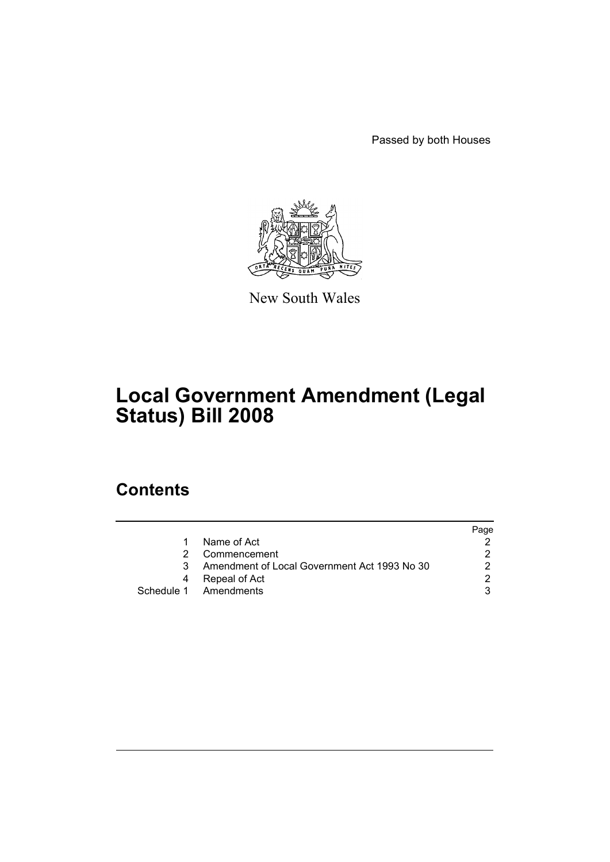Passed by both Houses



New South Wales

# **Local Government Amendment (Legal Status) Bill 2008**

## **Contents**

|   |                                              | Page |
|---|----------------------------------------------|------|
|   | Name of Act                                  |      |
|   | Commencement                                 |      |
| 3 | Amendment of Local Government Act 1993 No 30 |      |
|   | Repeal of Act                                | ⌒    |
|   | Schedule 1 Amendments                        |      |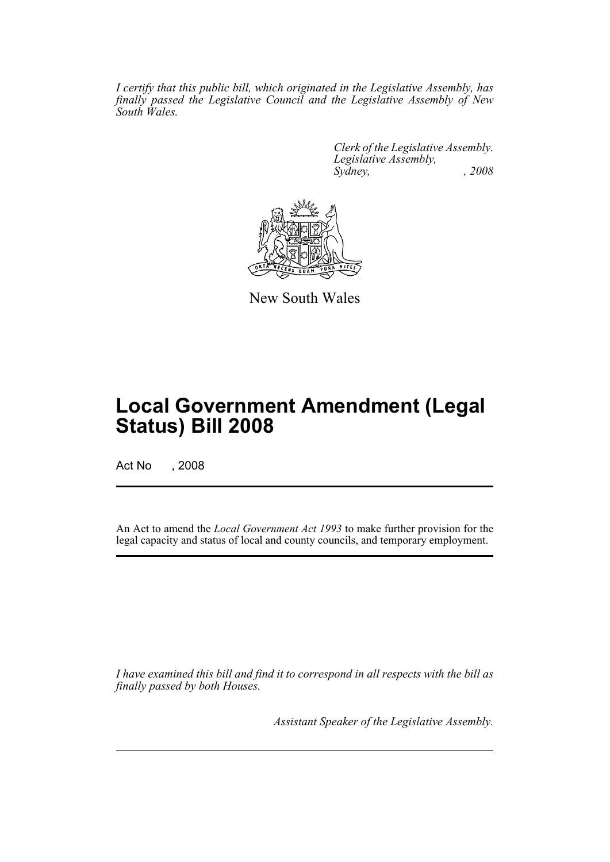*I certify that this public bill, which originated in the Legislative Assembly, has finally passed the Legislative Council and the Legislative Assembly of New South Wales.*

> *Clerk of the Legislative Assembly. Legislative Assembly, Sydney, , 2008*



New South Wales

## **Local Government Amendment (Legal Status) Bill 2008**

Act No , 2008

An Act to amend the *Local Government Act 1993* to make further provision for the legal capacity and status of local and county councils, and temporary employment.

*I have examined this bill and find it to correspond in all respects with the bill as finally passed by both Houses.*

*Assistant Speaker of the Legislative Assembly.*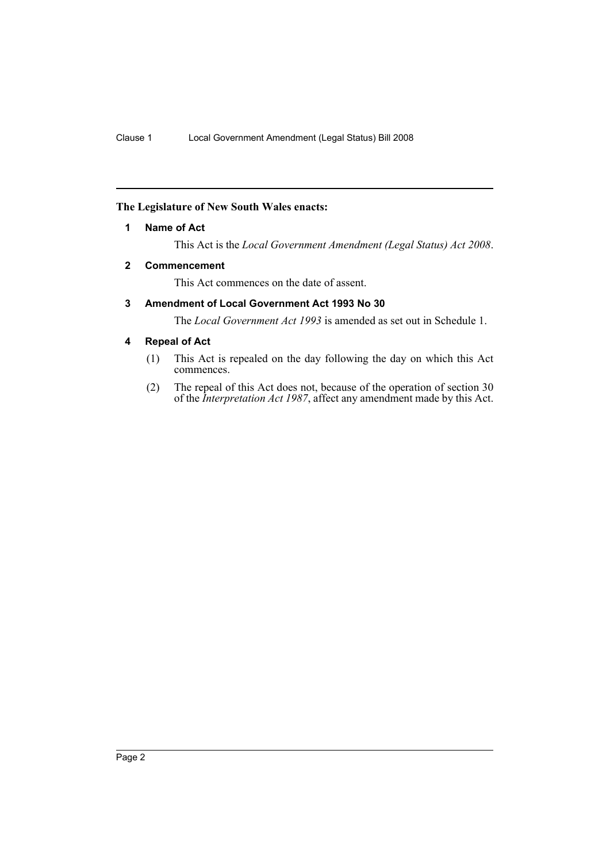#### <span id="page-3-0"></span>**The Legislature of New South Wales enacts:**

#### **1 Name of Act**

This Act is the *Local Government Amendment (Legal Status) Act 2008*.

#### <span id="page-3-1"></span>**2 Commencement**

This Act commences on the date of assent.

#### <span id="page-3-2"></span>**3 Amendment of Local Government Act 1993 No 30**

The *Local Government Act 1993* is amended as set out in Schedule 1.

#### <span id="page-3-3"></span>**4 Repeal of Act**

- (1) This Act is repealed on the day following the day on which this Act commences.
- (2) The repeal of this Act does not, because of the operation of section 30 of the *Interpretation Act 1987*, affect any amendment made by this Act.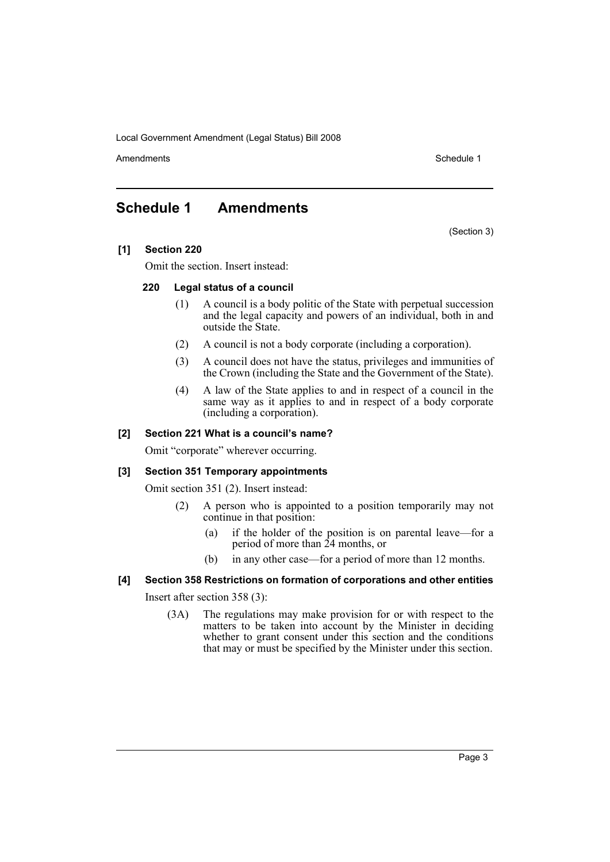Amendments **Amendments** Schedule 1

### <span id="page-4-0"></span>**Schedule 1 Amendments**

(Section 3)

#### **[1] Section 220**

Omit the section. Insert instead:

#### **220 Legal status of a council**

- (1) A council is a body politic of the State with perpetual succession and the legal capacity and powers of an individual, both in and outside the State.
- (2) A council is not a body corporate (including a corporation).
- (3) A council does not have the status, privileges and immunities of the Crown (including the State and the Government of the State).
- (4) A law of the State applies to and in respect of a council in the same way as it applies to and in respect of a body corporate (including a corporation).

#### **[2] Section 221 What is a council's name?**

Omit "corporate" wherever occurring.

#### **[3] Section 351 Temporary appointments**

Omit section 351 (2). Insert instead:

- (2) A person who is appointed to a position temporarily may not continue in that position:
	- (a) if the holder of the position is on parental leave—for a period of more than 24 months, or
	- (b) in any other case—for a period of more than 12 months.

#### **[4] Section 358 Restrictions on formation of corporations and other entities**

Insert after section 358 (3):

(3A) The regulations may make provision for or with respect to the matters to be taken into account by the Minister in deciding whether to grant consent under this section and the conditions that may or must be specified by the Minister under this section.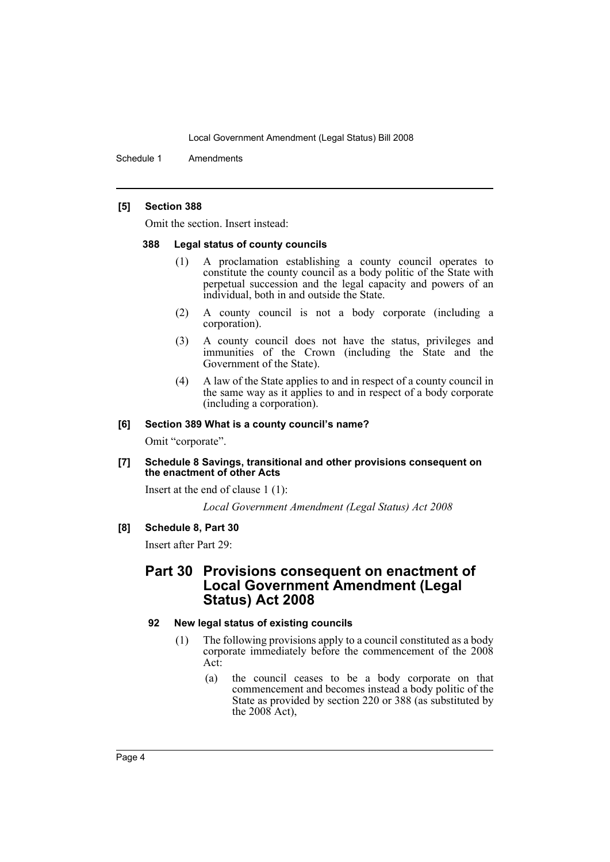Schedule 1 Amendments

#### **[5] Section 388**

Omit the section. Insert instead:

#### **388 Legal status of county councils**

- (1) A proclamation establishing a county council operates to constitute the county council as a body politic of the State with perpetual succession and the legal capacity and powers of an individual, both in and outside the State.
- (2) A county council is not a body corporate (including a corporation).
- (3) A county council does not have the status, privileges and immunities of the Crown (including the State and the Government of the State).
- (4) A law of the State applies to and in respect of a county council in the same way as it applies to and in respect of a body corporate (including a corporation).

#### **[6] Section 389 What is a county council's name?**

Omit "corporate".

#### **[7] Schedule 8 Savings, transitional and other provisions consequent on the enactment of other Acts**

Insert at the end of clause 1 (1):

*Local Government Amendment (Legal Status) Act 2008*

#### **[8] Schedule 8, Part 30**

Insert after Part 29:

### **Part 30 Provisions consequent on enactment of Local Government Amendment (Legal Status) Act 2008**

#### **92 New legal status of existing councils**

- (1) The following provisions apply to a council constituted as a body corporate immediately before the commencement of the 2008 Act:
	- (a) the council ceases to be a body corporate on that commencement and becomes instead a body politic of the State as provided by section 220 or 388 (as substituted by the  $2008$  Act),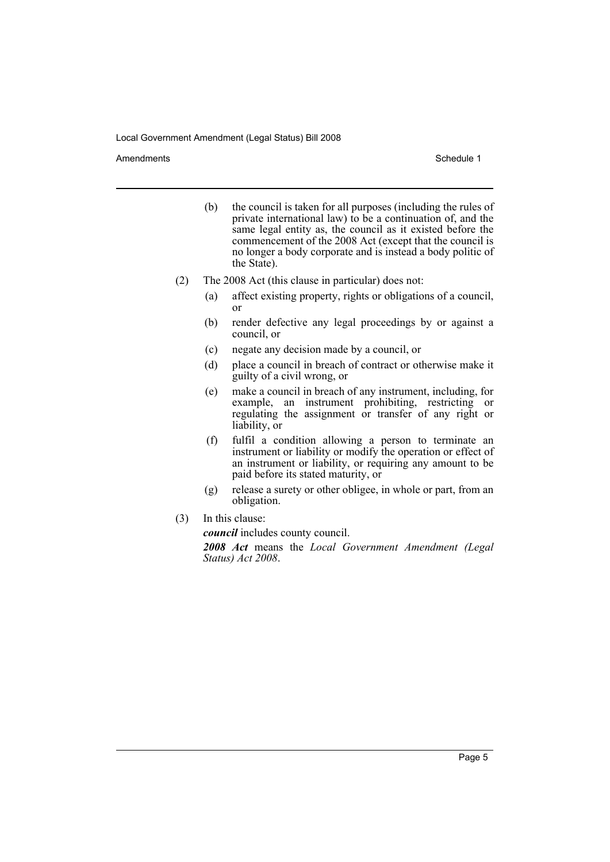Amendments **Schedule 1** and the set of the set of the set of the set of the set of the set of the set of the set of the set of the set of the set of the set of the set of the set of the set of the set of the set of the set

- (b) the council is taken for all purposes (including the rules of private international law) to be a continuation of, and the same legal entity as, the council as it existed before the commencement of the 2008 Act (except that the council is no longer a body corporate and is instead a body politic of the State).
- (2) The 2008 Act (this clause in particular) does not:
	- (a) affect existing property, rights or obligations of a council, or
	- (b) render defective any legal proceedings by or against a council, or
	- (c) negate any decision made by a council, or
	- (d) place a council in breach of contract or otherwise make it guilty of a civil wrong, or
	- (e) make a council in breach of any instrument, including, for example, an instrument prohibiting, restricting or regulating the assignment or transfer of any right or liability, or
	- (f) fulfil a condition allowing a person to terminate an instrument or liability or modify the operation or effect of an instrument or liability, or requiring any amount to be paid before its stated maturity, or
	- (g) release a surety or other obligee, in whole or part, from an obligation.
- (3) In this clause:

*council* includes county council.

*2008 Act* means the *Local Government Amendment (Legal Status) Act 2008*.